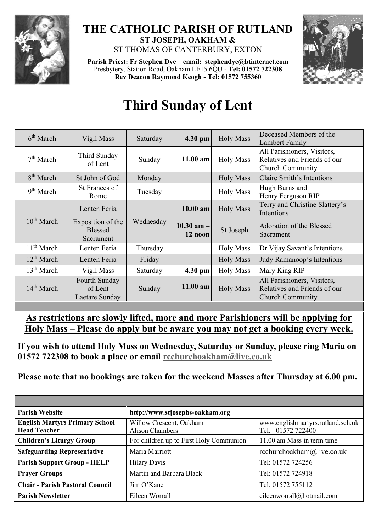

## **THE CATHOLIC PARISH OF RUTLAND ST JOSEPH, OAKHAM &**  ST THOMAS OF CANTERBURY, EXTON

**Parish Priest: Fr Stephen Dye** – **[email: stephendye@btinternet.com](mailto:email:%20%20stephendye@btinternet.com)** Presbytery, Station Road, Oakham LE15 6QU - **Tel: 01572 722308 Rev Deacon Raymond Keogh - Tel: 01572 755360**



## **Third Sunday of Lent**

| 6 <sup>th</sup> March  | Vigil Mass                                       | Saturday  | 4.30 pm                   | <b>Holy Mass</b> | Deceased Members of the<br>Lambert Family                                              |
|------------------------|--------------------------------------------------|-----------|---------------------------|------------------|----------------------------------------------------------------------------------------|
| 7 <sup>th</sup> March  | Third Sunday<br>of Lent                          | Sunday    | $11.00$ am                | <b>Holy Mass</b> | All Parishioners, Visitors,<br>Relatives and Friends of our<br><b>Church Community</b> |
| 8 <sup>th</sup> March  | St John of God                                   | Monday    |                           | <b>Holy Mass</b> | Claire Smith's Intentions                                                              |
| 9 <sup>th</sup> March  | St Frances of<br>Rome                            | Tuesday   |                           | <b>Holy Mass</b> | Hugh Burns and<br>Henry Ferguson RIP                                                   |
| $10^{th}$ March        | Lenten Feria                                     | Wednesday | $10.00$ am                | <b>Holy Mass</b> | Terry and Christine Slattery's<br>Intentions                                           |
|                        | Exposition of the<br><b>Blessed</b><br>Sacrament |           | $10.30$ am $-$<br>12 noon | St Joseph        | Adoration of the Blessed<br>Sacrament                                                  |
| 11 <sup>th</sup> March | Lenten Feria                                     | Thursday  |                           | <b>Holy Mass</b> | Dr Vijay Savant's Intentions                                                           |
| 12 <sup>th</sup> March | Lenten Feria                                     | Friday    |                           | <b>Holy Mass</b> | Judy Ramanoop's Intentions                                                             |
| 13 <sup>th</sup> March | Vigil Mass                                       | Saturday  | 4.30 pm                   | <b>Holy Mass</b> | Mary King RIP                                                                          |
| $14th$ March           | Fourth Sunday<br>of Lent<br>Laetare Sunday       | Sunday    | 11.00 am                  | <b>Holy Mass</b> | All Parishioners, Visitors,<br>Relatives and Friends of our<br><b>Church Community</b> |

**As restrictions are slowly lifted, more and more Parishioners will be applying for Holy Mass – Please do apply but be aware you may not get a booking every week.**

**If you wish to attend Holy Mass on Wednesday, Saturday or Sunday, please ring Maria on 01572 722308 to book a place or email [rcchurchoakham@live.co.uk](mailto:rcchurchoakham@live.co.uk)**

**Please note that no bookings are taken for the weekend Masses after Thursday at 6.00 pm.**

| <b>Parish Website</b>                                        | http://www.stjosephs-oakham.org            |                                                        |  |
|--------------------------------------------------------------|--------------------------------------------|--------------------------------------------------------|--|
| <b>English Martyrs Primary School</b><br><b>Head Teacher</b> | Willow Crescent, Oakham<br>Alison Chambers | www.englishmartyrs.rutland.sch.uk<br>Tel: 01572 722400 |  |
| <b>Children's Liturgy Group</b>                              | For children up to First Holy Communion    | 11.00 am Mass in term time                             |  |
| <b>Safeguarding Representative</b>                           | Maria Marriott                             | rcchurchoakham@live.co.uk                              |  |
| <b>Parish Support Group - HELP</b>                           | <b>Hilary Davis</b>                        | Tel: 01572 724256                                      |  |
| <b>Prayer Groups</b>                                         | Martin and Barbara Black                   | Tel: 01572 724918                                      |  |
| <b>Chair - Parish Pastoral Council</b>                       | Jim O'Kane                                 | Tel: 01572 755112                                      |  |
| <b>Parish Newsletter</b>                                     | Eileen Worrall                             | eileenworrall@hotmail.com                              |  |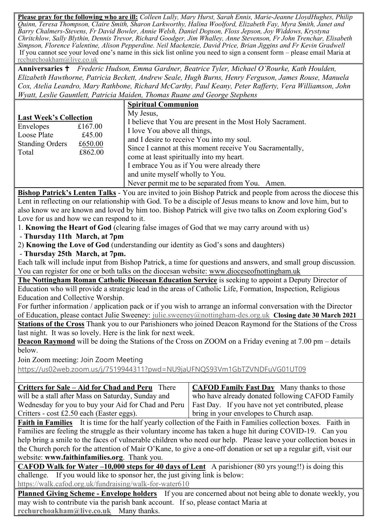**Please pray for the following who are ill:** *Colleen Lully, Mary Hurst, Sarah Ennis, Marie-Jeanne LloydHughes, Philip Quinn, Teresa Thompson, Claire Smith, Sharon Larkworthy, Halina Woolford, Elizabeth Fay, Myra Smith, Janet and Barry Chalmers-Stevens, Fr David Bowler, Annie Welsh, Daniel Dopson, Floss Jepson, Joy Widdows, Krystyna Chritchlow, Sally Blythin, Dennis Trevor, Richard Goodger, Jim Whalley, Anne Stevenson, Fr John Trenchar, Elisabeth Simpson, Florence Valentine, Alison Pepperdine. Neil Mackenzie, David Price, Brian Jiggins and Fr Kevin Gradwell*  If you cannot see your loved one's name in this sick list online you need to sign a consent form – please email Maria at [rcchurchoakham@live.co.uk](mailto:rcchurchoakham@live.co.uk)

**Anniversaries**  *Frederic Hudson, Emma Gardner, Beatrice Tyler, Michael O'Rourke, Kath Houlden, Elizabeth Hawthorne, Patricia Beckett, Andrew Seale, Hugh Burns, Henry Ferguson, James Rouse, Manuela Cox, Atelia Leandro, Mary Rathbone, Richard McCarthy, Paul Keany, Peter Rafferty, Vera Williamson, John Wyatt, Leslie Gauntlett, Patricia Maiden, Thomas Ruane and George Stephens*

|                                                                                              |                                         | <b>Spiritual Communion</b>                                                                                                                                                                                                                                                                                                                                                                       |
|----------------------------------------------------------------------------------------------|-----------------------------------------|--------------------------------------------------------------------------------------------------------------------------------------------------------------------------------------------------------------------------------------------------------------------------------------------------------------------------------------------------------------------------------------------------|
| <b>Last Week's Collection</b><br>Envelopes<br>Loose Plate<br><b>Standing Orders</b><br>Total | £167.00<br>£45.00<br>£650.00<br>£862.00 | My Jesus,<br>I believe that You are present in the Most Holy Sacrament.<br>I love You above all things,<br>and I desire to receive You into my soul.<br>Since I cannot at this moment receive You Sacramentally,<br>come at least spiritually into my heart.<br>I embrace You as if You were already there<br>and unite myself wholly to You.<br>Never permit me to be separated from You. Amen. |

**Bishop Patrick's Lenten Talks** - You are invited to join Bishop Patrick and people from across the diocese this Lent in reflecting on our relationship with God. To be a disciple of Jesus means to know and love him, but to also know we are known and loved by him too. Bishop Patrick will give two talks on Zoom exploring God's Love for us and how we can respond to it.

1. **Knowing the Heart of God** (clearing false images of God that we may carry around with us)

- **Thursday 11th March, at 7pm**

2) **Knowing the Love of God** (understanding our identity as God's sons and daughters)

- **Thursday 25th March, at 7pm.**

Each talk will include input from Bishop Patrick, a time for questions and answers, and small group discussion. You can register for one or both talks on the diocesan website: [www.dioceseofnottingham.uk](http://www.dioceseofnottingham.uk/)

**The Nottingham Roman Catholic Diocesan Education Service** is seeking to appoint a Deputy Director of Education who will provide a strategic lead in the areas of Catholic Life, Formation, Inspection, Religious Education and Collective Worship.

For further information / application pack or if you wish to arrange an informal conversation with the Director of Education, please contact Julie Sweeney: [julie.sweeney@nottingham-des.org.uk](mailto:julie.sweeney@nottingham-des.org.uk) **Closing date 30 March 2021**

**Stations of the Cross** Thank you to our Parishioners who joined Deacon Raymond for the Stations of the Cross last night. It was so lovely. Here is the link for next week.

**Deacon Raymond** will be doing the Stations of the Cross on ZOOM on a Friday evening at 7.00 pm – details below.

Join Zoom meeting: Join Zoom Meeting

<https://us02web.zoom.us/j/7519944311?pwd=NU9jaUFNQS93Vm1GbTZVNDFuVG01UT09>

| <b>Critters for Sale – Aid for Chad and Peru</b> There                                                  | <b>CAFOD Family Fast Day</b> Many thanks to those |  |
|---------------------------------------------------------------------------------------------------------|---------------------------------------------------|--|
| will be a stall after Mass on Saturday, Sunday and                                                      | who have already donated following CAFOD Family   |  |
| Wednesday for you to buy your Aid for Chad and Peru   Fast Day. If you have not yet contributed, please |                                                   |  |
| Critters - $cost \pounds2.50$ each (Easter eggs).                                                       | bring in your envelopes to Church asap.           |  |

**Faith in Families** It is time for the half yearly collection of the Faith in Families collection boxes. Faith in Families are feeling the struggle as their voluntary income has taken a huge hit during COVID-19. Can you help bring a smile to the faces of vulnerable children who need our help. Please leave your collection boxes in the Church porch for the attention of Mair O'Kane, to give a one-off donation or set up a regular gift, visit our website: **[www.faithinfamilies.org](http://www.faithinfamilies.org/)**. Thank you.

**CAFOD Walk for Water –10,000 steps for 40 days of Lent** A parishioner (80 yrs young!!) is doing this challenge. If you would like to sponsor her, the just giving link is below:

<https://walk.cafod.org.uk/fundraising/walk-for-water610>

**Planned Giving Scheme - Envelope holders** If you are concerned about not being able to donate weekly, you may wish to contribute via the parish bank account. If so, please contact Maria at **[rcchurchoakham@live.co.uk](mailto:rcchurchoakham@live.co.uk)** Many thanks.